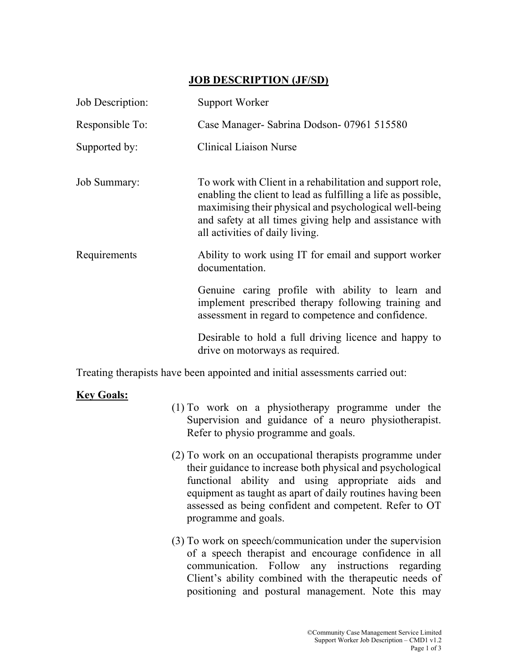## JOB DESCRIPTION (JF/SD)

| Job Description:    | Support Worker                                                                                                                                                                                                                                                                     |
|---------------------|------------------------------------------------------------------------------------------------------------------------------------------------------------------------------------------------------------------------------------------------------------------------------------|
| Responsible To:     | Case Manager- Sabrina Dodson- 07961 515580                                                                                                                                                                                                                                         |
| Supported by:       | <b>Clinical Liaison Nurse</b>                                                                                                                                                                                                                                                      |
| <b>Job Summary:</b> | To work with Client in a rehabilitation and support role,<br>enabling the client to lead as fulfilling a life as possible,<br>maximising their physical and psychological well-being<br>and safety at all times giving help and assistance with<br>all activities of daily living. |
| Requirements        | Ability to work using IT for email and support worker<br>documentation.                                                                                                                                                                                                            |
|                     | Genuine caring profile with ability to learn and<br>implement prescribed therapy following training and<br>assessment in regard to competence and confidence.                                                                                                                      |
|                     | Desirable to hold a full driving licence and happy to<br>drive on motorways as required.                                                                                                                                                                                           |

Treating therapists have been appointed and initial assessments carried out:

## **Key Goals:**

- (1) To work on a physiotherapy programme under the Supervision and guidance of a neuro physiotherapist. Refer to physio programme and goals.
- (2) To work on an occupational therapists programme under their guidance to increase both physical and psychological functional ability and using appropriate aids and equipment as taught as apart of daily routines having been assessed as being confident and competent. Refer to OT programme and goals.
- (3) To work on speech/communication under the supervision of a speech therapist and encourage confidence in all communication. Follow any instructions regarding Client's ability combined with the therapeutic needs of positioning and postural management. Note this may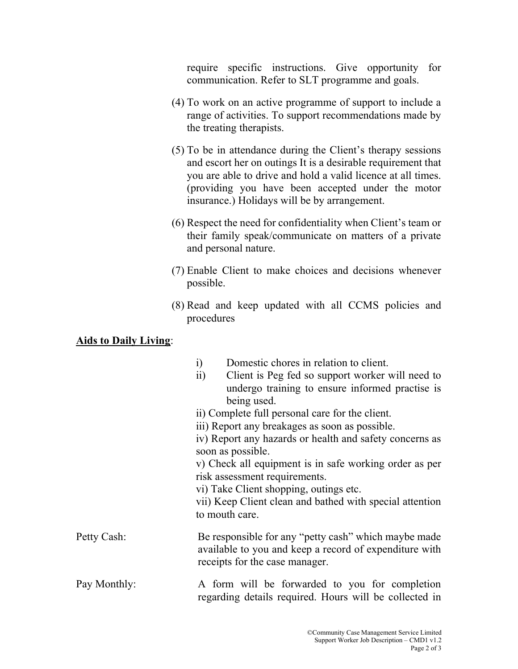require specific instructions. Give opportunity for communication. Refer to SLT programme and goals.

- (4) To work on an active programme of support to include a range of activities. To support recommendations made by the treating therapists.
- (5) To be in attendance during the Client's therapy sessions and escort her on outings It is a desirable requirement that you are able to drive and hold a valid licence at all times. (providing you have been accepted under the motor insurance.) Holidays will be by arrangement.
- (6) Respect the need for confidentiality when Client's team or their family speak/communicate on matters of a private and personal nature.
- (7) Enable Client to make choices and decisions whenever possible.
- (8) Read and keep updated with all CCMS policies and procedures

## Aids to Daily Living: Ξ

|              | Domestic chores in relation to client.<br>$\rm i)$<br>$\overline{11}$ )<br>Client is Peg fed so support worker will need to<br>undergo training to ensure informed practise is<br>being used.<br>ii) Complete full personal care for the client.<br>iii) Report any breakages as soon as possible.<br>iv) Report any hazards or health and safety concerns as<br>soon as possible.<br>v) Check all equipment is in safe working order as per<br>risk assessment requirements. |
|--------------|-------------------------------------------------------------------------------------------------------------------------------------------------------------------------------------------------------------------------------------------------------------------------------------------------------------------------------------------------------------------------------------------------------------------------------------------------------------------------------|
|              | vi) Take Client shopping, outings etc.<br>vii) Keep Client clean and bathed with special attention<br>to mouth care.                                                                                                                                                                                                                                                                                                                                                          |
| Petty Cash:  | Be responsible for any "petty cash" which maybe made<br>available to you and keep a record of expenditure with<br>receipts for the case manager.                                                                                                                                                                                                                                                                                                                              |
| Pay Monthly: | A form will be forwarded to you for completion<br>regarding details required. Hours will be collected in                                                                                                                                                                                                                                                                                                                                                                      |